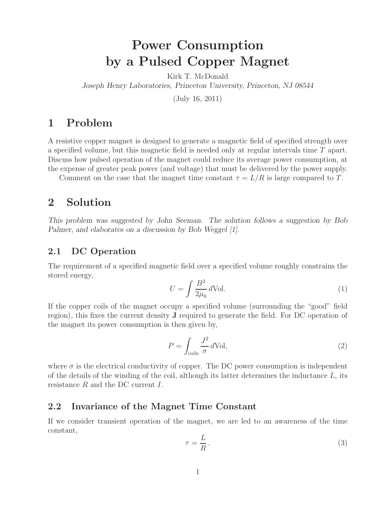# **Power Consumption by a Pulsed Copper Magnet**

Kirk T. McDonald

*Joseph Henry Laboratories, Princeton University, Princeton, NJ 08544*

(July 16, 2011)

# **1 Problem**

A resistive copper magnet is designed to generate a magnetic field of specified strength over a specified volume, but this magnetic field is needed only at regular intervals time T apart. Discuss how pulsed operation of the magnet could reduce its average power consumption, at the expense of greater peak power (and voltage) that must be delivered by the power supply.

Comment on the case that the magnet time constant  $\tau = L/R$  is large compared to T.

## **2 Solution**

*This problem was suggested by John Seeman. The solution follows a suggestion by Bob Palmer, and elaborates on a discussion by Bob Weggel [1].*

#### **2.1 DC Operation**

The requirement of a specified magnetic field over a specified volume roughly constrains the stored energy,

$$
U = \int \frac{B^2}{2\mu_0} d\text{Vol}.
$$
 (1)

If the copper coils of the magnet occupy a specified volume (surrounding the "good" field region), this fixes the current density **J** required to generate the field. For DC operation of the magnet its power consumption is then given by,

$$
P = \int_{\text{coils}} \frac{J^2}{\sigma} d\text{Vol},\tag{2}
$$

where  $\sigma$  is the electrical conductivity of copper. The DC power consumption is independent of the details of the winding of the coil, although its latter determines the inductance  $L$ , its resistance R and the DC current I.

#### **2.2 Invariance of the Magnet Time Constant**

If we consider transient operation of the magnet, we are led to an awareness of the time constant,

$$
\tau = \frac{L}{R} \,. \tag{3}
$$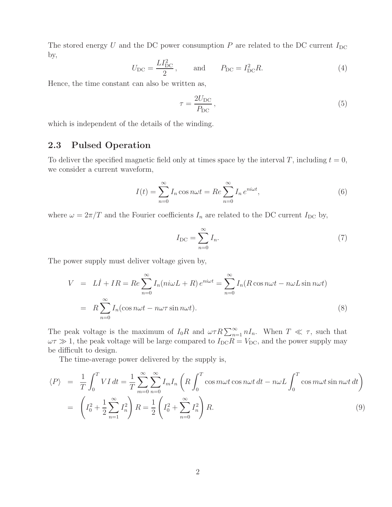The stored energy U and the DC power consumption P are related to the DC current  $I_{\text{DC}}$ by,

$$
U_{\rm DC} = \frac{LI_{\rm DC}^2}{2}, \quad \text{and} \quad P_{\rm DC} = I_{\rm DC}^2 R. \tag{4}
$$

Hence, the time constant can also be written as,

$$
\tau = \frac{2U_{\rm DC}}{P_{\rm DC}},\tag{5}
$$

which is independent of the details of the winding.

### **2.3 Pulsed Operation**

To deliver the specified magnetic field only at times space by the interval T, including  $t = 0$ , we consider a current waveform,

$$
I(t) = \sum_{n=0}^{\infty} I_n \cos n\omega t = Re \sum_{n=0}^{\infty} I_n e^{ni\omega t},
$$
\n(6)

where  $\omega = 2\pi/T$  and the Fourier coefficients  $I_n$  are related to the DC current  $I_{\text{DC}}$  by,

$$
I_{\rm DC} = \sum_{n=0}^{\infty} I_n.
$$
 (7)

The power supply must deliver voltage given by,

$$
V = LI + IR = Re \sum_{n=0}^{\infty} I_n(ni\omega L + R) e^{ni\omega t} = \sum_{n=0}^{\infty} I_n(R \cos n\omega t - n\omega L \sin n\omega t)
$$
  
=  $R \sum_{n=0}^{\infty} I_n(\cos n\omega t - n\omega \tau \sin n\omega t).$  (8)

The peak voltage is the maximum of  $I_0R$  and  $\omega \tau R \sum_{n=1}^{\infty} nI_n$ . When  $T \ll \tau$ , such that  $\omega \tau \gg 1$  the position will be large compared to  $I_0 R = V_0$ , and the power supply may  $\omega \tau \gg 1$ , the peak voltage will be large compared to  $I_{\text{DC}}R = V_{\text{DC}}$ , and the power supply may be difficult to design.

The time-average power delivered by the supply is,

$$
\langle P \rangle = \frac{1}{T} \int_0^T VI \, dt = \frac{1}{T} \sum_{m=0}^{\infty} \sum_{n=0}^{\infty} I_m I_n \left( R \int_0^T \cos m\omega t \cos n\omega t \, dt - n\omega L \int_0^T \cos m\omega t \sin n\omega t \, dt \right)
$$

$$
= \left( I_0^2 + \frac{1}{2} \sum_{n=1}^{\infty} I_n^2 \right) R = \frac{1}{2} \left( I_0^2 + \sum_{n=0}^{\infty} I_n^2 \right) R. \tag{9}
$$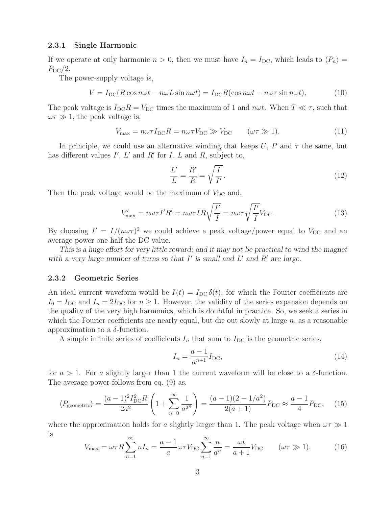#### **2.3.1 Single Harmonic**

If we operate at only harmonic  $n > 0$ , then we must have  $I_n = I_{DC}$ , which leads to  $\langle P_n \rangle =$  $P_{\rm DC}/2.$ 

The power-supply voltage is,

$$
V = I_{DC}(R\cos n\omega t - n\omega L\sin n\omega t) = I_{DC}R(\cos n\omega t - n\omega \tau \sin n\omega t),
$$
 (10)

The peak voltage is  $I_{\text{DC}}R = V_{\text{DC}}$  times the maximum of 1 and  $n\omega t$ . When  $T \ll \tau$ , such that  $\omega \tau \gg 1$ , the peak voltage is,

$$
V_{\text{max}} = n\omega\tau I_{\text{DC}}R = n\omega\tau V_{\text{DC}} \gg V_{\text{DC}} \qquad (\omega\tau \gg 1). \tag{11}
$$

In principle, we could use an alternative winding that keeps U, P and  $\tau$  the same, but has different values  $I'$ ,  $L'$  and  $R'$  for  $I$ ,  $L$  and  $R$ , subject to,

$$
\frac{L'}{L} = \frac{R'}{R} = \sqrt{\frac{I}{I'}}.
$$
\n(12)

Then the peak voltage would be the maximum of  $V_{\text{DC}}$  and,

$$
V'_{\text{max}} = n\omega\tau I'R' = n\omega\tau IR \sqrt{\frac{I'}{I}} = n\omega\tau \sqrt{\frac{I'}{I}} V_{\text{DC}}.
$$
\n(13)

By choosing  $I' = I/(n\omega\tau)^2$  we could achieve a peak voltage/power equal to  $V_{\text{DC}}$  and an average power one half the DC value.

*This is a huge effort for very little reward; and it may not be practical to wind the magnet* with a very large number of turns so that  $I'$  is small and  $L'$  and  $R'$  are large.

#### **2.3.2 Geometric Series**

An ideal current waveform would be  $I(t) = I_{DC} \delta(t)$ , for which the Fourier coefficients are  $I_0 = I_{\text{DC}}$  and  $I_n = 2I_{\text{DC}}$  for  $n \geq 1$ . However, the validity of the series expansion depends on the quality of the very high harmonics, which is doubtful in practice. So, we seek a series in which the Fourier coefficients are nearly equal, but die out slowly at large  $n$ , as a reasonable approximation to a  $\delta$ -function.

A simple infinite series of coefficients  $I_n$  that sum to  $I_{DC}$  is the geometric series,

$$
I_n = \frac{a-1}{a^{n+1}} I_{\rm DC},
$$
\n(14)

for  $a > 1$ . For a slightly larger than 1 the current waveform will be close to a  $\delta$ -function. The average power follows from eq. (9) as,

$$
\langle P_{\text{geometric}} \rangle = \frac{(a-1)^2 I_{\text{DC}}^2 R}{2a^2} \left( 1 + \sum_{n=0}^{\infty} \frac{1}{a^{2n}} \right) = \frac{(a-1)(2-1/a^2)}{2(a+1)} P_{\text{DC}} \approx \frac{a-1}{4} P_{\text{DC}}, \quad (15)
$$

where the approximation holds for a slightly larger than 1. The peak voltage when  $\omega \tau \gg 1$ is

$$
V_{\text{max}} = \omega \tau R \sum_{n=1}^{\infty} n I_n = \frac{a-1}{a} \omega \tau V_{\text{DC}} \sum_{n=1}^{\infty} \frac{n}{a^n} = \frac{\omega t}{a+1} V_{\text{DC}} \qquad (\omega \tau \gg 1). \tag{16}
$$